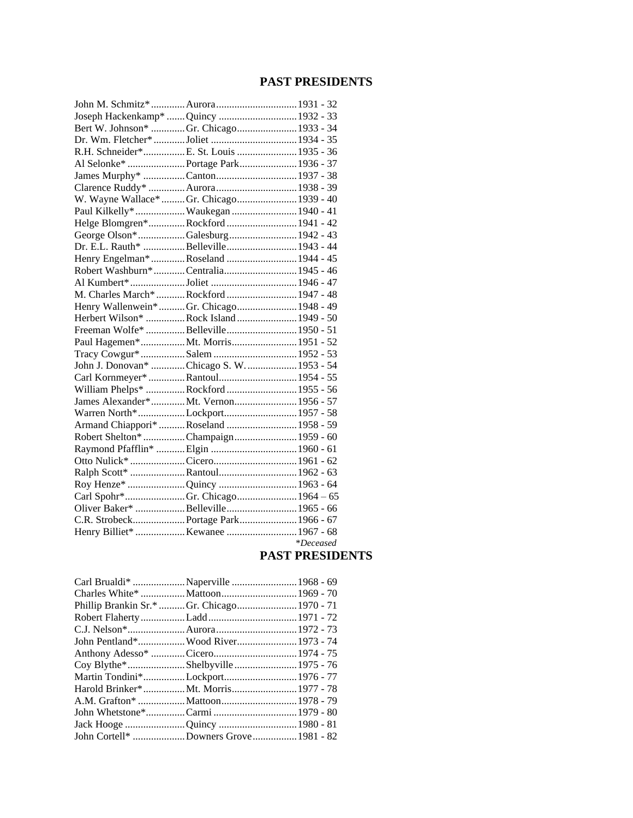## **PAST PRESIDENTS**

| John M. Schmitz*  Aurora 1931 - 32        |             |
|-------------------------------------------|-------------|
| Joseph Hackenkamp*  Quincy  1932 - 33     |             |
| Bert W. Johnson* Gr. Chicago 1933 - 34    |             |
|                                           |             |
| R.H. Schneider*E. St. Louis  1935 - 36    |             |
|                                           |             |
|                                           |             |
| Clarence Ruddy*  Aurora 1938 - 39         |             |
| W. Wayne Wallace*  Gr. Chicago 1939 - 40  |             |
| Paul Kilkelly*  Waukegan  1940 - 41       |             |
| Helge Blomgren*Rockford 1941 - 42         |             |
| George Olson*Galesburg 1942 - 43          |             |
| Dr. E.L. Rauth* Belleville 1943 - 44      |             |
| Henry Engelman* Roseland  1944 - 45       |             |
| Robert Washburn*Centralia 1945 - 46       |             |
|                                           |             |
| M. Charles March* Rockford  1947 - 48     |             |
| Henry Wallenwein*Gr. Chicago 1948 - 49    |             |
| Herbert Wilson* Rock Island  1949 - 50    |             |
| Freeman Wolfe* Belleville 1950 - 51       |             |
|                                           |             |
|                                           |             |
| John J. Donovan* Chicago S. W.  1953 - 54 |             |
| Carl Kornmeyer* Rantoul 1954 - 55         |             |
| William Phelps* Rockford  1955 - 56       |             |
| James Alexander*Mt. Vernon1956 - 57       |             |
| Warren North*Lockport 1957 - 58           |             |
| Armand Chiappori* Roseland  1958 - 59     |             |
| Robert Shelton* Champaign 1959 - 60       |             |
| Raymond Pfafflin*  Elgin  1960 - 61       |             |
|                                           |             |
|                                           |             |
|                                           |             |
|                                           |             |
| Oliver Baker* Belleville 1965 - 66        |             |
| C.R. Strobeck Portage Park 1966 - 67      |             |
|                                           |             |
|                                           | $*Deceased$ |

#### **PAST PRESIDENTS**

|                                            | Carl Brualdi* Naperville 1968 - 69  |  |
|--------------------------------------------|-------------------------------------|--|
|                                            |                                     |  |
| Phillip Brankin Sr.* Gr. Chicago 1970 - 71 |                                     |  |
|                                            |                                     |  |
|                                            |                                     |  |
|                                            | John Pentland* Wood River 1973 - 74 |  |
|                                            |                                     |  |
|                                            |                                     |  |
| Martin Tondini*Lockport 1976 - 77          |                                     |  |
| Harold Brinker*Mt. Morris1977 - 78         |                                     |  |
|                                            |                                     |  |
|                                            |                                     |  |
| Jack Hooge Quincy  1980 - 81               |                                     |  |
| John Cortell* Downers Grove 1981 - 82      |                                     |  |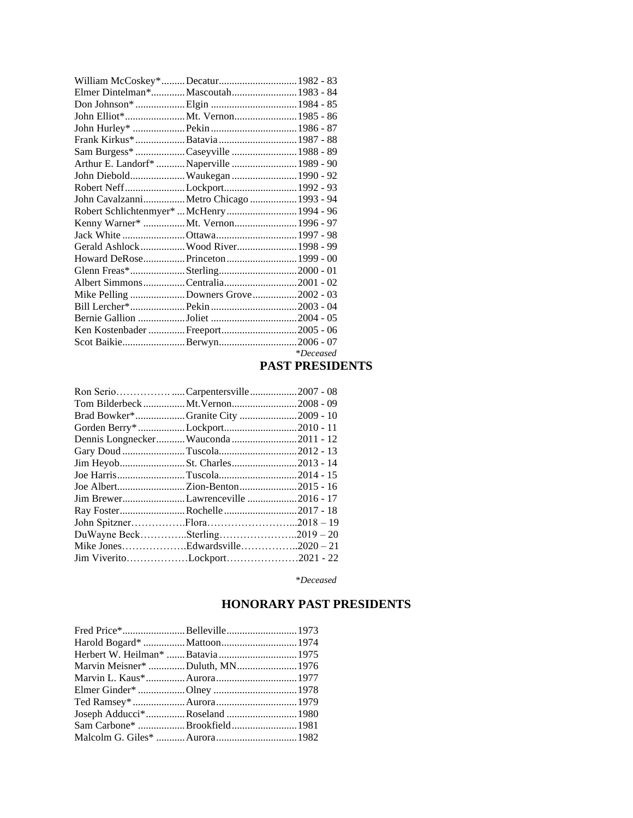| William McCoskey*Decatur 1982 - 83         |                                          |                  |
|--------------------------------------------|------------------------------------------|------------------|
| Elmer Dintelman*Mascoutah 1983 - 84        |                                          |                  |
|                                            |                                          |                  |
|                                            |                                          |                  |
|                                            |                                          |                  |
|                                            |                                          |                  |
| Sam Burgess* Caseyville  1988 - 89         |                                          |                  |
| Arthur E. Landorf*  Naperville  1989 - 90  |                                          |                  |
| John Diebold Waukegan  1990 - 92           |                                          |                  |
| Robert NeffLockport 1992 - 93              |                                          |                  |
|                                            | John Cavalzanni Metro Chicago  1993 - 94 |                  |
| Robert Schlichtenmyer*  McHenry  1994 - 96 |                                          |                  |
| Kenny Warner* Mt. Vernon 1996 - 97         |                                          |                  |
|                                            |                                          |                  |
| Gerald Ashlock  Wood River 1998 - 99       |                                          |                  |
| Howard DeRosePrinceton 1999 - 00           |                                          |                  |
|                                            |                                          |                  |
| Albert SimmonsCentralia2001 - 02           |                                          |                  |
| Mike Pelling Downers Grove 2002 - 03       |                                          |                  |
|                                            |                                          |                  |
|                                            |                                          |                  |
| Ken Kostenbader Freeport2005 - 06          |                                          |                  |
| Scot BaikieBerwyn2006 - 07                 |                                          |                  |
|                                            |                                          | <i>*Deceased</i> |

#### **PAST PRESIDENTS**

| Ron SerioCarpentersville2007 - 08    |  |
|--------------------------------------|--|
| Tom Bilderbeck Mt. Vernon2008 - 09   |  |
| Brad Bowker*Granite City 2009 - 10   |  |
| Gorden Berry* Lockport2010 - 11      |  |
| Dennis Longnecker Wauconda 2011 - 12 |  |
| Gary Doud Tuscola2012 - 13           |  |
|                                      |  |
|                                      |  |
|                                      |  |
| Jim BrewerLawrenceville2016 - 17     |  |
|                                      |  |
| John SpitznerFlora2018 - 19          |  |
| DuWayne BeckSterling2019 - 20        |  |
| Mike JonesEdwardsville2020 - 21      |  |
| Jim ViveritoLockport2021 - 22        |  |

\**Deceased*

# **HONORARY PAST PRESIDENTS**

| Herbert W. Heilman*  Batavia  1975 |  |
|------------------------------------|--|
| Marvin Meisner* Duluth, MN1976     |  |
|                                    |  |
|                                    |  |
|                                    |  |
|                                    |  |
|                                    |  |
|                                    |  |
|                                    |  |